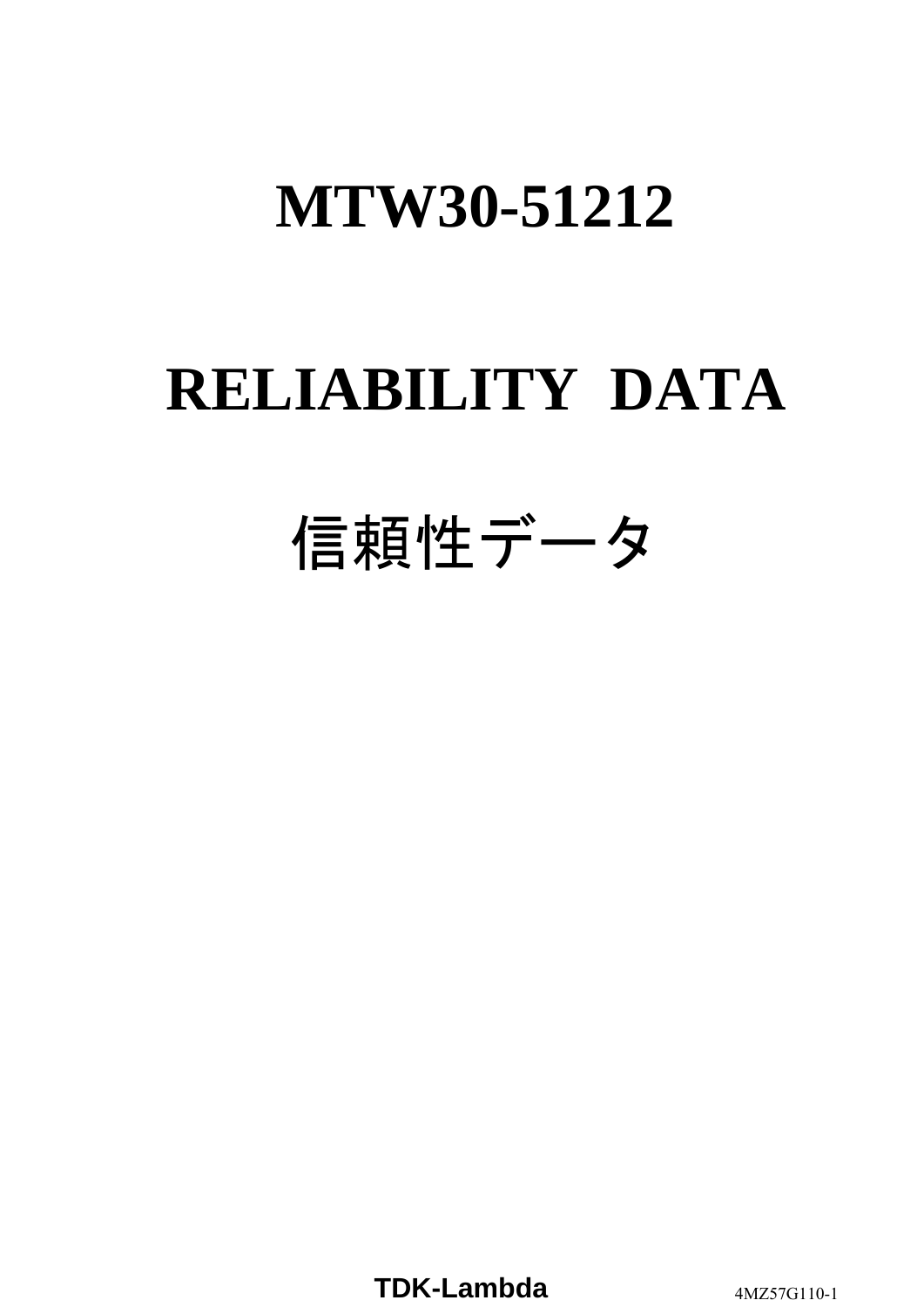# **RELIABILITY DATA**

# 信頼性データ

**TDK-Lambda** 4MZ57G110-1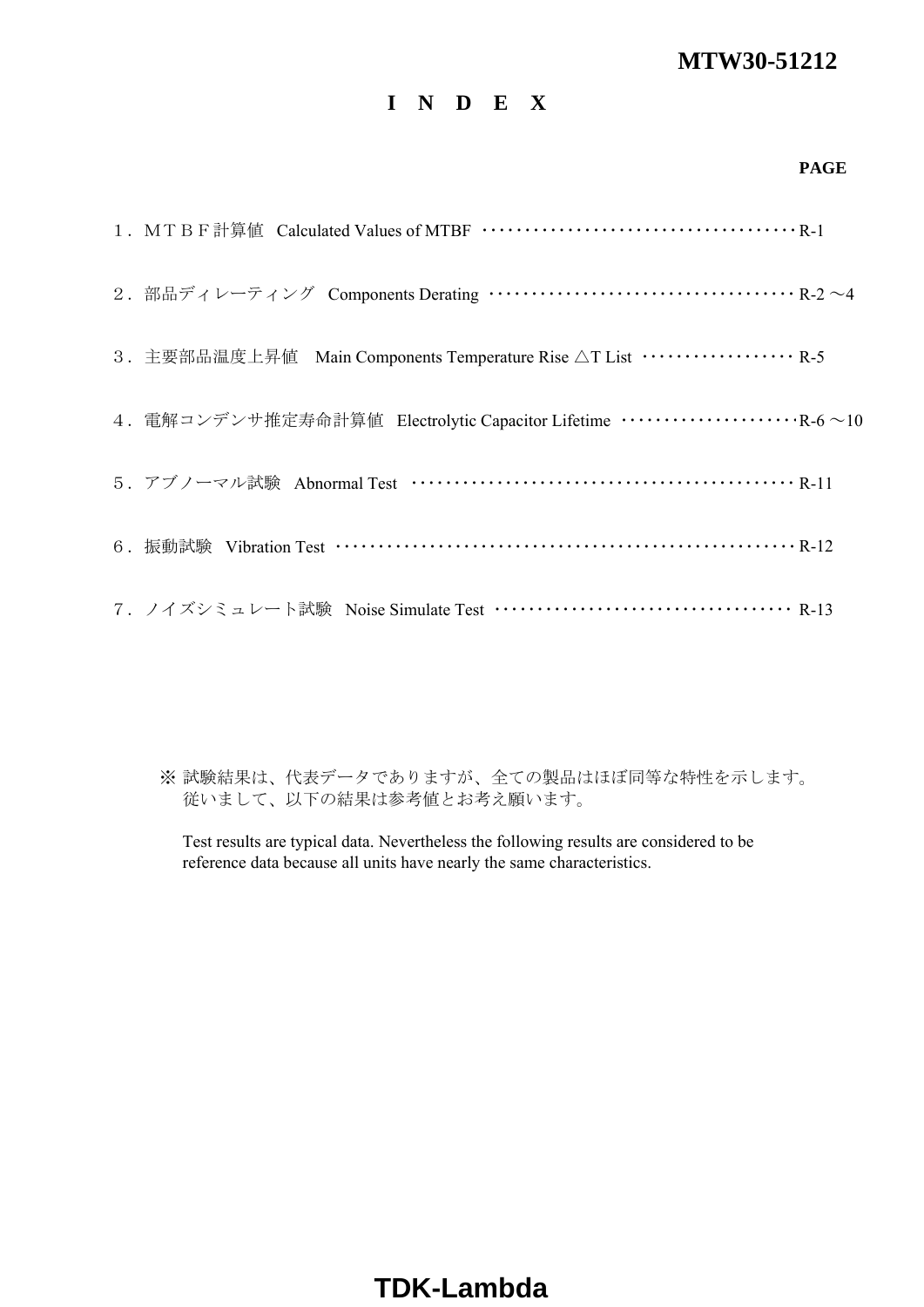## **I N D E X**

#### **PAGE**

| 2. 部品ディレーティング Components Derating …………………………………… R-2 ~4                       |
|-------------------------------------------------------------------------------|
| 3. 主要部品温度上昇值 Main Components Temperature Rise △T List ··················· R-5 |
|                                                                               |
|                                                                               |
|                                                                               |
| 7. ノイズシミュレート試験 Noise Simulate Test ………………………………… R-13                         |

※ 試験結果は、代表データでありますが、全ての製品はほぼ同等な特性を示します。 従いまして、以下の結果は参考値とお考え願います。

Test results are typical data. Nevertheless the following results are considered to be reference data because all units have nearly the same characteristics.

## **TDK-Lambda**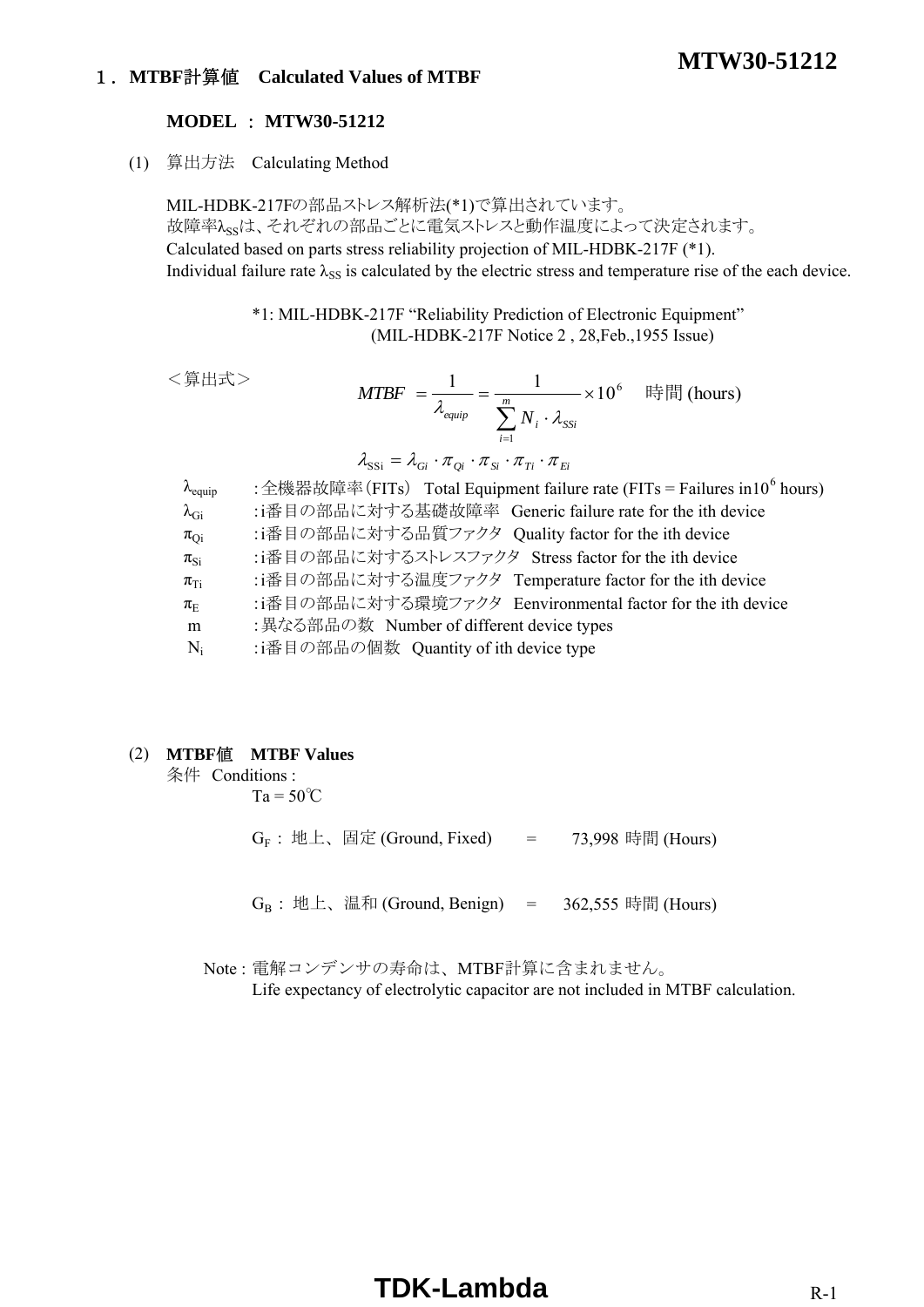## 1.**MTBF**計算値 **Calculated Values of MTBF**

#### **MODEL** : **MTW30-51212**

(1) 算出方法 Calculating Method

MIL-HDBK-217Fの部品ストレス解析法(\*1)で算出されています。 故障率 $\lambda_{\rm ss}$ は、それぞれの部品ごとに電気ストレスと動作温度によって決定されます。 Calculated based on parts stress reliability projection of MIL-HDBK-217F (\*1). Individual failure rate  $\lambda_{SS}$  is calculated by the electric stress and temperature rise of the each device.

> \*1: MIL-HDBK-217F "Reliability Prediction of Electronic Equipment" (MIL-HDBK-217F Notice 2 , 28,Feb.,1955 Issue)

<算出式>

$$
MTBF = \frac{1}{\lambda_{\text{equip}}} = \frac{1}{\sum_{i=1}^{m} N_i \cdot \lambda_{\text{SSI}}} \times 10^6 \quad \text{iff} \quad \text{[hours]}
$$
\n
$$
\lambda_{\text{SSI}} = \lambda_{\text{Gi}} \cdot \pi_{\text{Qi}} \cdot \pi_{\text{Si}} \cdot \pi_{\text{Ti}} \cdot \pi_{\text{Ei}}
$$

| $\lambda_{\text{equiv}}$ | : 全機器故障率(FITs) Total Equipment failure rate (FITs = Failures in 10 <sup>6</sup> hours) |
|--------------------------|----------------------------------------------------------------------------------------|
| $\lambda_{\rm Gi}$       | :i番目の部品に対する基礎故障率 Generic failure rate for the ith device                               |
| $\pi_{Qi}$               | :i番目の部品に対する品質ファクタ Quality factor for the ith device                                    |
| $\pi_{\text{Si}}$        | :i番目の部品に対するストレスファクタ Stress factor for the ith device                                   |
| $\pi_{Ti}$               | :i番目の部品に対する温度ファクタ Temperature factor for the ith device                                |
| $\pi_{\rm E}$            | :i番目の部品に対する環境ファクタ Eenvironmental factor for the ith device                             |
| m                        | : 異なる部品の数 Number of different device types                                             |
| $N_i$                    | :i番目の部品の個数 Quantity of ith device type                                                 |

#### (2) **MTBF**値 **MTBF Values**

条件 Conditions :

 $Ta = 50^{\circ}C$ 

 $G_F$  : 地上、固定 (Ground, Fixed) = 73,998 時間 (Hours)

 $G_B$ : 地上、温和 (Ground, Benign) = 362,555 時間 (Hours)

Note : 電解コンデンサの寿命は、MTBF計算に含まれません。

Life expectancy of electrolytic capacitor are not included in MTBF calculation.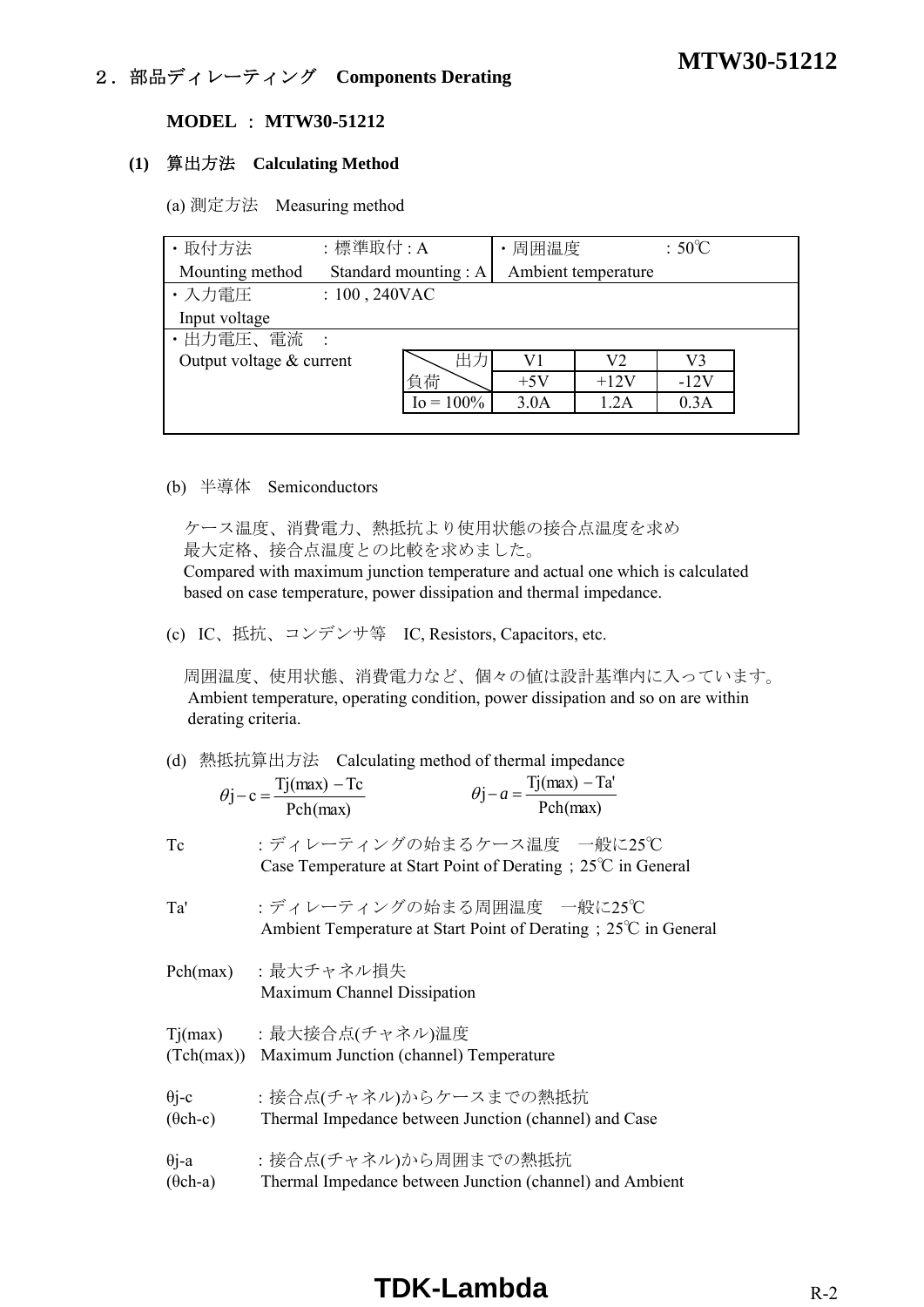## **MTW30-51212** 2.部品ディレーティング **Components Derating**

#### **MODEL** : **MTW30-51212**

## **(1)** 算出方法 **Calculating Method**

(a) 測定方法 Measuring method

| · 取付方法                     | :標準取付:A          |                       | 周囲温度  |                     | $:50^{\circ}$ C |  |
|----------------------------|------------------|-----------------------|-------|---------------------|-----------------|--|
| Mounting method            |                  | Standard mounting : A |       | Ambient temperature |                 |  |
| ・入力電圧                      | $: 100, 240$ VAC |                       |       |                     |                 |  |
| Input voltage              |                  |                       |       |                     |                 |  |
| •出力電圧、電流 :                 |                  |                       |       |                     |                 |  |
| Output voltage $&$ current |                  | 出力                    | V1    | V2                  | V3              |  |
|                            |                  | 負荷                    | $+5V$ | $+12V$              | $-12V$          |  |
|                            |                  | $I_0 = 100\%$         | 3.0A  | 1.2A                | 0.3A            |  |
|                            |                  |                       |       |                     |                 |  |

#### (b) 半導体 Semiconductors

 ケース温度、消費電力、熱抵抗より使用状態の接合点温度を求め 最大定格、接合点温度との比較を求めました。

 Compared with maximum junction temperature and actual one which is calculated based on case temperature, power dissipation and thermal impedance.

(c) IC、抵抗、コンデンサ等 IC, Resistors, Capacitors, etc.

 周囲温度、使用状態、消費電力など、個々の値は設計基準内に入っています。 Ambient temperature, operating condition, power dissipation and so on are within derating criteria.

|  |  |  | (d) 熱抵抗算出方法 Calculating method of thermal impedance |
|--|--|--|-----------------------------------------------------|
|--|--|--|-----------------------------------------------------|

| $\theta$ j – c = $\frac{Tj(max) - Tc}{T}$ | $Tj(max) - Ta'$<br>$\theta$ j – a = $\stackrel{\rightarrow}{\leftarrow}$ |
|-------------------------------------------|--------------------------------------------------------------------------|
| Pch(max)                                  | Pch(max)                                                                 |

Tc :ディレーティングの始まるケース温度 一般に25℃ Case Temperature at Start Point of Derating;25℃ in General

Ta' :ディレーティングの始まる周囲温度 一般に25℃ Ambient Temperature at Start Point of Derating;25℃ in General

- Pch(max) :最大チャネル損失 Maximum Channel Dissipation
- Tj(max) :最大接合点(チャネル)温度 (Tch(max)) Maximum Junction (channel) Temperature
- θi-c :接合点(チャネル)からケースまでの熱抵抗
- (θch-c) Thermal Impedance between Junction (channel) and Case
- θj-a :接合点(チャネル)から周囲までの熱抵抗
- (θch-a) Thermal Impedance between Junction (channel) and Ambient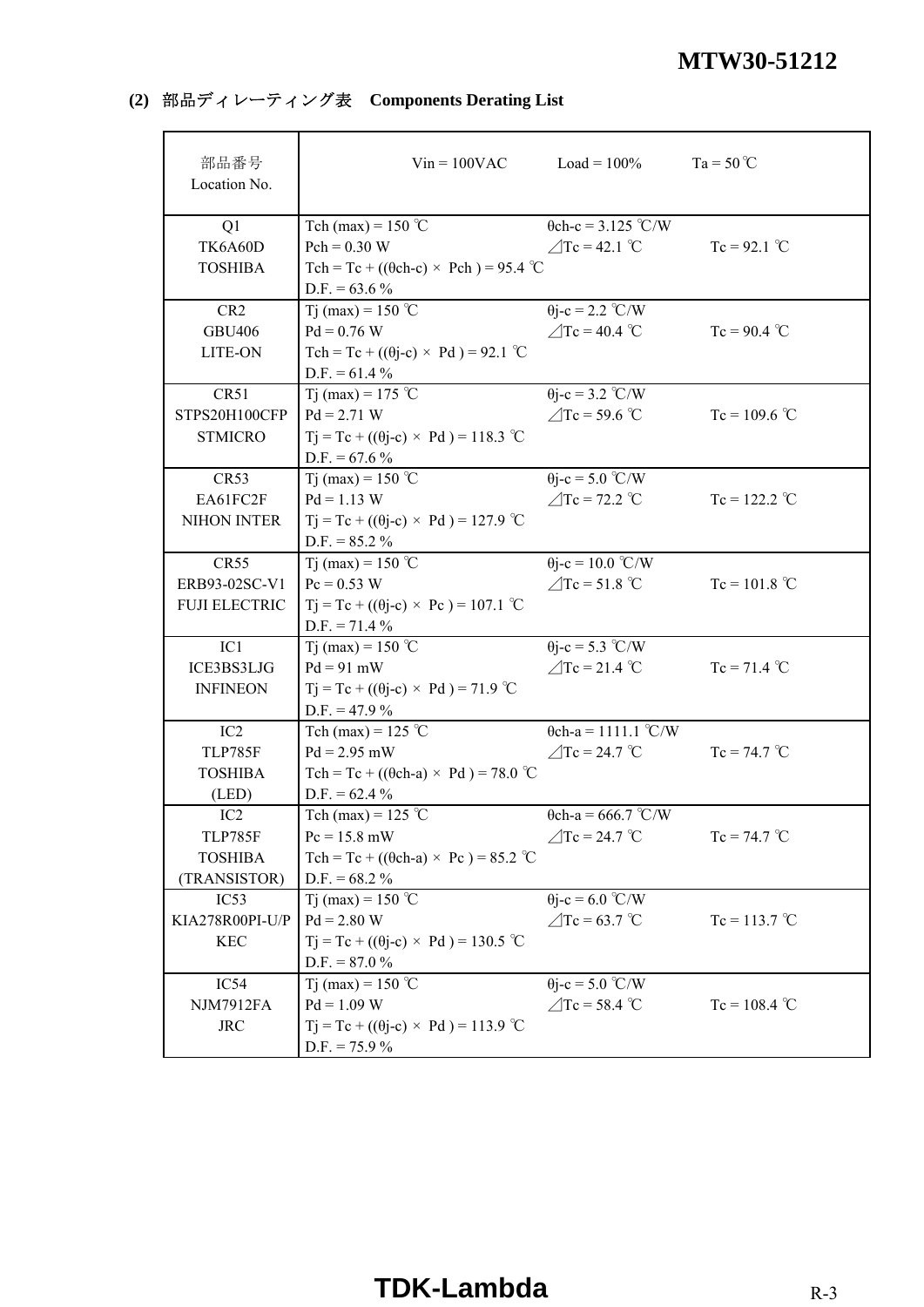## **(2)** 部品ディレーティング表 **Components Derating List**

| 部品番号<br>Location No. |                                                   | $Vin = 100VAC$ $Load = 100%$ | $Ta = 50^{\circ}C$ |
|----------------------|---------------------------------------------------|------------------------------|--------------------|
| Q1                   | Tch (max) = $150$ °C                              | $\theta$ ch-c = 3.125 °C/W   |                    |
| TK6A60D              | $Pch = 0.30 W$                                    | $\angle$ Tc = 42.1 °C        | $Tc = 92.1$ °C     |
| <b>TOSHIBA</b>       | Tch = Tc + (( $\theta$ ch-c) × Pch) = 95.4 °C     |                              |                    |
|                      | $D.F. = 63.6 %$                                   |                              |                    |
| CR <sub>2</sub>      | Tj (max) = 150 °C                                 | $\theta$ j-c = 2.2 °C/W      |                    |
| <b>GBU406</b>        | $Pd = 0.76 W$                                     | $\angle$ Tc = 40.4 °C        | $Tc = 90.4$ °C     |
| LITE-ON              | Tch = Tc + $((\theta j-c) \times Pd)$ = 92.1 °C   |                              |                    |
|                      | $D.F. = 61.4 \%$                                  |                              |                    |
| CR51                 | Tj (max) = 175 °C                                 | $\theta$ j-c = 3.2 °C/W      |                    |
| STPS20H100CFP        | $Pd = 2.71 W$                                     | $\angle$ Tc = 59.6 °C        | $Tc = 109.6$ °C    |
| <b>STMICRO</b>       | $Tj = Tc + ((\theta j - c) \times Pd) = 118.3$ °C |                              |                    |
|                      | $D.F. = 67.6 %$                                   |                              |                    |
| CR53                 | Tj (max) = 150 °C                                 | $\theta$ j-c = 5.0 °C/W      |                    |
| EA61FC2F             | $Pd = 1.13 W$                                     | $\angle$ Tc = 72.2 °C        | $Tc = 122.2$ °C    |
| NIHON INTER          | $Tj = Tc + ((\theta j - c) \times Pd) = 127.9$ °C |                              |                    |
|                      | $D.F. = 85.2 \%$                                  |                              |                    |
| CR55                 | T <sub>j</sub> (max) = 150 °C                     | $\theta$ j-c = 10.0 °C/W     |                    |
| ERB93-02SC-V1        | $Pc = 0.53 W$                                     | $\triangle$ Tc = 51.8 °C     | $Tc = 101.8 °C$    |
| <b>FUJI ELECTRIC</b> | $Tj = Tc + ((\theta j - c) \times Pc) = 107.1$ °C |                              |                    |
|                      | $D.F. = 71.4 \%$                                  |                              |                    |
| IC1                  | Tj (max) = 150 °C                                 | $\theta$ j-c = 5.3 °C/W      |                    |
| ICE3BS3LJG           | $Pd = 91$ mW                                      | $\angle$ Tc = 21.4 °C        | $Tc = 71.4 °C$     |
| <b>INFINEON</b>      | $Tj = Tc + ((\theta j - c) \times Pd) = 71.9$ °C  |                              |                    |
|                      | $D.F. = 47.9 \%$                                  |                              |                    |
| IC <sub>2</sub>      | Tch (max) = 125 °C                                | $\theta$ ch-a = 1111.1 °C/W  |                    |
| <b>TLP785F</b>       | $Pd = 2.95$ mW                                    | $\angle$ Tc = 24.7 °C        | $Tc = 74.7 °C$     |
| <b>TOSHIBA</b>       | Tch = Tc + (( $\theta$ ch-a) × Pd) = 78.0 °C      |                              |                    |
| (LED)                | $D.F. = 62.4 \%$                                  |                              |                    |
| IC <sub>2</sub>      | Tch (max) = $125$ °C                              | $\theta$ ch-a = 666.7 °C/W   |                    |
| <b>TLP785F</b>       | $Pc = 15.8$ mW                                    | $\angle$ Tc = 24.7 °C        | $Tc = 74.7 °C$     |
| <b>TOSHIBA</b>       | Tch = Tc + (( $\theta$ ch-a) × Pc) = 85.2 °C      |                              |                    |
| (TRANSISTOR)         | $D.F. = 68.2 \%$                                  |                              |                    |
| IC53                 | T <sub>j</sub> (max) = 150 °C                     | $\theta$ j-c = 6.0 °C/W      |                    |
| KIA278R00PI-U/P      | $Pd = 2.80 W$                                     | $\angle$ Tc = 63.7 °C        | $Tc = 113.7$ °C    |
| <b>KEC</b>           | $Tj = Tc + ((\theta j - c) \times Pd) = 130.5$ °C |                              |                    |
|                      | $D.F. = 87.0 %$                                   |                              |                    |
| IC54                 | Tj (max) = 150 °C                                 | $\theta$ j-c = 5.0 °C/W      |                    |
| <b>NJM7912FA</b>     | $Pd = 1.09 W$                                     | $\angle$ Tc = 58.4 °C        | $Tc = 108.4$ °C    |
| <b>JRC</b>           | $Tj = Tc + ((\theta j - c) \times Pd) = 113.9$ °C |                              |                    |
|                      | $D.F. = 75.9 \%$                                  |                              |                    |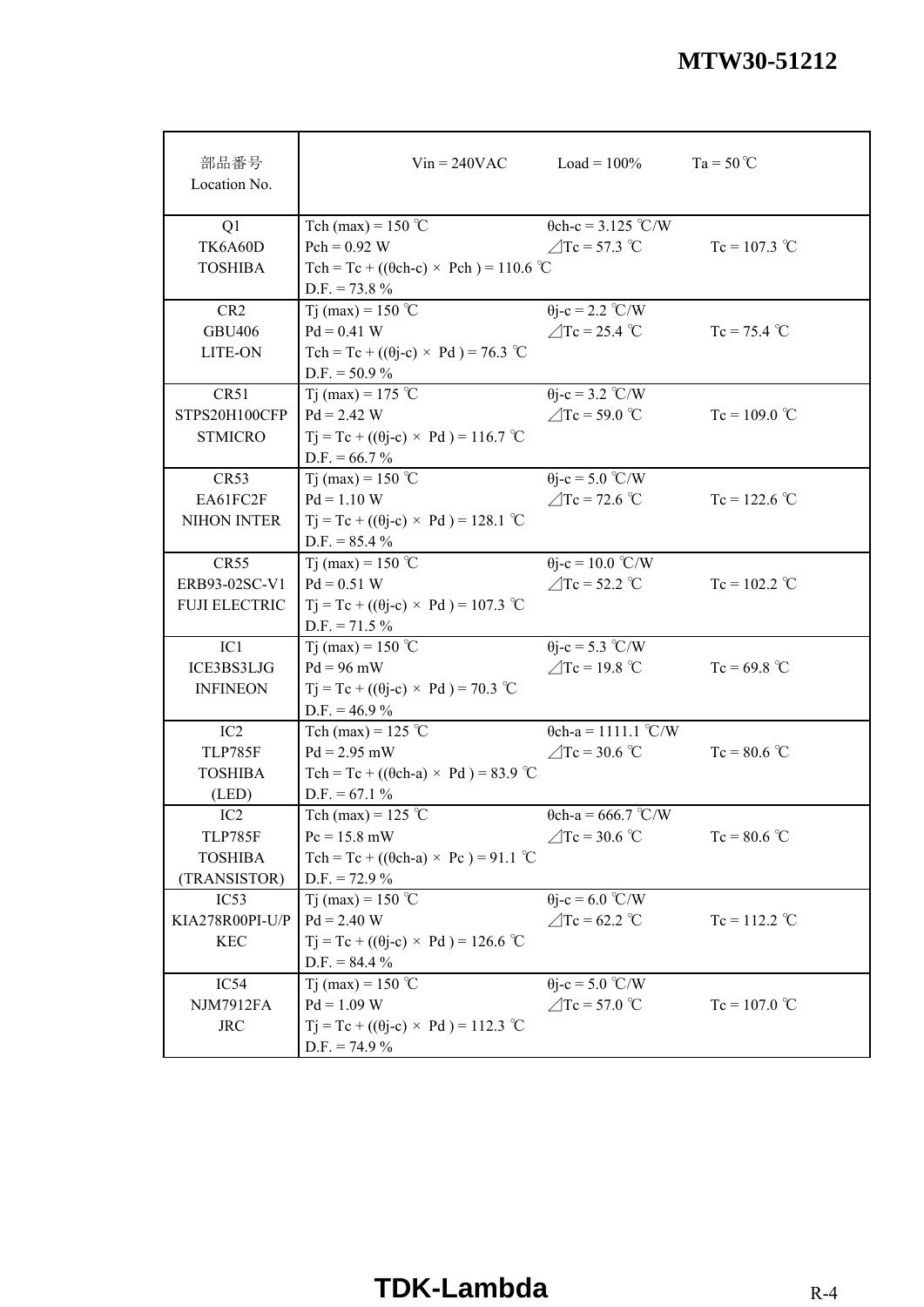| 部品番号<br>Location No. |                                                   | $Vin = 240VAC$ $Load = 100\%$ | $Ta = 50^{\circ}C$ |
|----------------------|---------------------------------------------------|-------------------------------|--------------------|
| Q1                   | Tch (max) = $150$ °C                              | $\theta$ ch-c = 3.125 °C/W    |                    |
| TK6A60D              | $Pch = 0.92 W$                                    | $\triangle$ Tc = 57.3 °C      | $Tc = 107.3$ °C    |
| <b>TOSHIBA</b>       | Tch = Tc + (( $\theta$ ch-c) × Pch) = 110.6 °C    |                               |                    |
|                      | $D.F. = 73.8 \%$                                  |                               |                    |
| CR <sub>2</sub>      | Tj (max) = 150 °C                                 | $\theta$ j-c = 2.2 °C/W       |                    |
| <b>GBU406</b>        | $Pd = 0.41 W$                                     | $\angle$ Tc = 25.4 °C         | $Tc = 75.4 °C$     |
| LITE-ON              | Tch = Tc + $((\theta$ j-c) × Pd) = 76.3 °C        |                               |                    |
|                      | $D.F. = 50.9 \%$                                  |                               |                    |
| CR51                 | T <sub>j</sub> (max) = 175 °C                     | $\theta$ j-c = 3.2 °C/W       |                    |
| STPS20H100CFP        | $Pd = 2.42 W$                                     | $\angle$ Tc = 59.0 °C         | $Tc = 109.0$ °C    |
| <b>STMICRO</b>       | $Tj = Tc + ((\theta j - c) \times Pd) = 116.7$ °C |                               |                    |
|                      | $D.F. = 66.7 \%$                                  |                               |                    |
| CR53                 | T <sub>i</sub> (max) = 150 °C                     | $\theta$ j-c = 5.0 °C/W       |                    |
| EA61FC2F             | $Pd = 1.10 W$                                     | $\triangle$ Tc = 72.6 °C      | $Tc = 122.6 °C$    |
| NIHON INTER          | $Tj = Tc + ((\theta j - c) \times Pd) = 128.1$ °C |                               |                    |
|                      | $D.F. = 85.4 \%$                                  |                               |                    |
| CR55                 | Tj (max) = 150 °C                                 | $\theta$ j-c = 10.0 °C/W      |                    |
| ERB93-02SC-V1        | $Pd = 0.51 W$                                     | $\triangle$ Tc = 52.2 °C      | $Tc = 102.2$ °C    |
| <b>FUJI ELECTRIC</b> | $Tj = Tc + ((\theta j - c) \times Pd) = 107.3$ °C |                               |                    |
|                      | $D.F. = 71.5 \%$                                  |                               |                    |
| IC1                  | Tj (max) = 150 °C                                 | $\theta$ j-c = 5.3 °C/W       |                    |
| ICE3BS3LJG           | $Pd = 96$ mW                                      | $\angle$ Tc = 19.8 °C         | $Tc = 69.8 °C$     |
| <b>INFINEON</b>      | $Tj = Tc + ((\theta j - c) \times Pd) = 70.3$ °C  |                               |                    |
|                      | $D.F. = 46.9\%$                                   |                               |                    |
| IC <sub>2</sub>      | Tch (max) = $125$ °C                              | $\theta$ ch-a = 1111.1 °C/W   |                    |
| <b>TLP785F</b>       | $Pd = 2.95$ mW                                    | $\triangle$ Tc = 30.6 °C      | $Tc = 80.6 °C$     |
| <b>TOSHIBA</b>       | Tch = Tc + (( $\theta$ ch-a) × Pd) = 83.9 °C      |                               |                    |
| (LED)                | $D.F. = 67.1 \%$                                  |                               |                    |
| IC2                  | Tch (max) = $125$ °C                              | $\theta$ ch-a = 666.7 °C/W    |                    |
| TLP785F              | $Pc = 15.8$ mW                                    | $\angle$ Tc = 30.6 °C         | $Tc = 80.6$ °C     |
| <b>TOSHIBA</b>       | Tch = Tc + (( $\theta$ ch-a) × Pc) = 91.1 °C      |                               |                    |
| (TRANSISTOR)         | $D.F. = 72.9 %$                                   |                               |                    |
| IC53                 | T <sub>j</sub> (max) = 150 °C                     | $\theta$ j-c = 6.0 °C/W       |                    |
| KIA278R00PI-U/P      | $Pd = 2.40 W$                                     | $\angle$ Tc = 62.2 °C         | $Tc = 112.2$ °C    |
| <b>KEC</b>           | $Tj = Tc + ((\theta j - c) \times Pd) = 126.6$ °C |                               |                    |
|                      | $D.F. = 84.4 \%$                                  |                               |                    |
| IC54                 | Tj (max) = 150 °C                                 | $\theta$ j-c = 5.0 °C/W       |                    |
| <b>NJM7912FA</b>     | $Pd = 1.09 W$                                     | $\angle$ Tc = 57.0 °C         | $Tc = 107.0$ °C    |
| <b>JRC</b>           | $Tj = Tc + ((\theta j - c) \times Pd) = 112.3$ °C |                               |                    |
|                      | $D.F. = 74.9\%$                                   |                               |                    |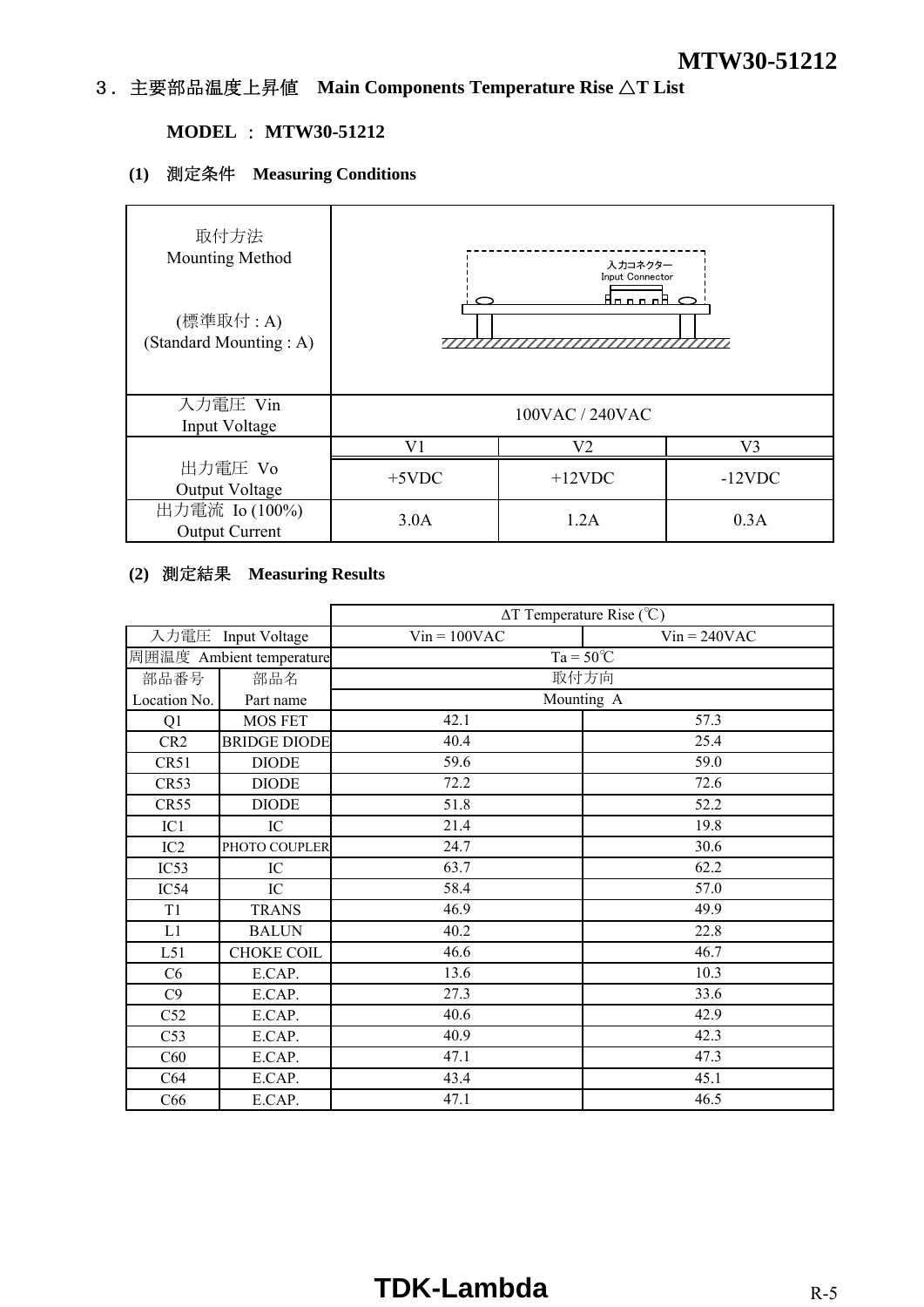## 3.主要部品温度上昇値 **Main Components Temperature Rise** △**T List**

## **MODEL** : **MTW30-51212**

## **(1)** 測定条件 **Measuring Conditions**

| 取付方法<br>Mounting Method<br>(標準取付 : A)<br>(Standard Mounting: A) |          | 入力コネクター<br>Input Connector<br><u>Anno Al</u> |           |
|-----------------------------------------------------------------|----------|----------------------------------------------|-----------|
| 入力電圧 Vin<br>Input Voltage                                       |          | 100VAC / 240VAC                              |           |
|                                                                 | V1       | V2                                           | V3        |
| 出力電圧 Vo<br>Output Voltage                                       | $+5$ VDC | $+12$ VDC                                    | $-12$ VDC |
| 出力電流 Io (100%)<br><b>Output Current</b>                         | 3.0A     | 1.2A                                         | 0.3A      |

## **(2)** 測定結果 **Measuring Results**

|                 |                          | $\Delta T$ Temperature Rise (°C) |                |
|-----------------|--------------------------|----------------------------------|----------------|
|                 | 入力電圧 Input Voltage       | $Vin = 100VAC$                   | $Vin = 240VAC$ |
|                 | 周囲温度 Ambient temperature | $Ta = 50^{\circ}C$               |                |
| 部品番号            | 部品名                      | 取付方向                             |                |
| Location No.    | Part name                | Mounting A                       |                |
| Q1              | <b>MOS FET</b>           | 42.1                             | 57.3           |
| CR <sub>2</sub> | <b>BRIDGE DIODE</b>      | 40.4                             | 25.4           |
| CR51            | <b>DIODE</b>             | 59.6                             | 59.0           |
| CR53            | <b>DIODE</b>             | 72.2                             | 72.6           |
| CR55            | <b>DIODE</b>             | 51.8                             | 52.2           |
| IC1             | IC                       | 21.4                             | 19.8           |
| IC2             | PHOTO COUPLER            | 24.7                             | 30.6           |
| IC53            | IC                       | 63.7                             | 62.2           |
| IC54            | IC                       | 58.4                             | 57.0           |
| T <sub>1</sub>  | <b>TRANS</b>             | 46.9                             | 49.9           |
| L1              | <b>BALUN</b>             | 40.2                             | 22.8           |
| L51             | <b>CHOKE COIL</b>        | 46.6                             | 46.7           |
| C6              | E.CAP.                   | 13.6                             | 10.3           |
| C9              | E.CAP.                   | 27.3                             | 33.6           |
| C52             | E.CAP.                   | 40.6                             | 42.9           |
| C53             | E.CAP.                   | 40.9                             | 42.3           |
| C60             | E.CAP.                   | 47.1                             | 47.3           |
| C64             | E.CAP.                   | 43.4                             | 45.1           |
| C66             | E.CAP.                   | 47.1                             | 46.5           |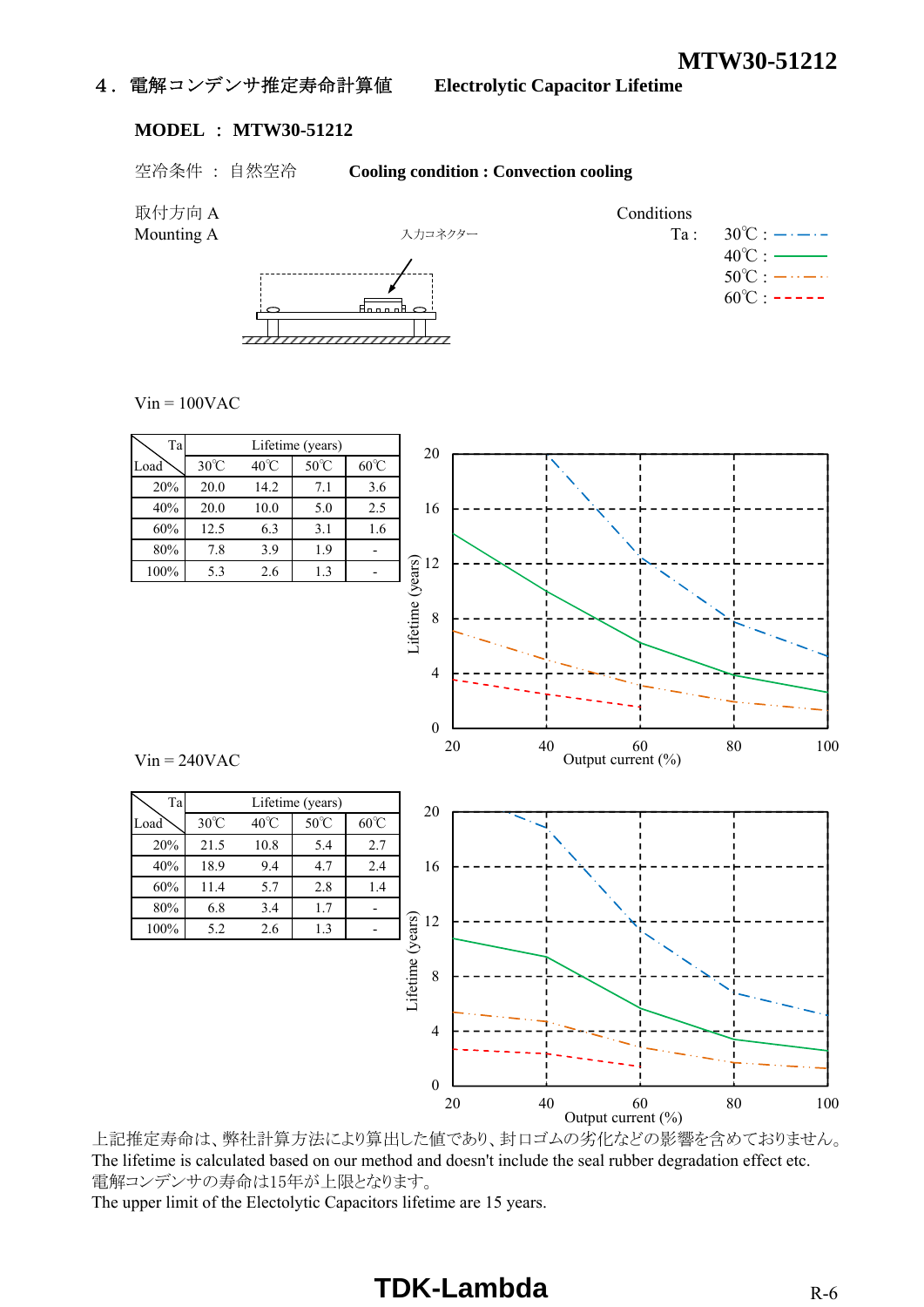## 4.電解コンデンサ推定寿命計算値 **Electrolytic Capacitor Lifetime**

#### **MODEL** : **MTW30-51212**

### 空冷条件 : 自然空冷 **Cooling condition : Convection cooling**



 $Vin = 100VAC$ 



上記推定寿命は、弊社計算方法により算出した値であり、封口ゴムの劣化などの影響を含めておりません。 The lifetime is calculated based on our method and doesn't include the seal rubber degradation effect etc. 電解コンデンサの寿命は15年が上限となります。

The upper limit of the Electolytic Capacitors lifetime are 15 years.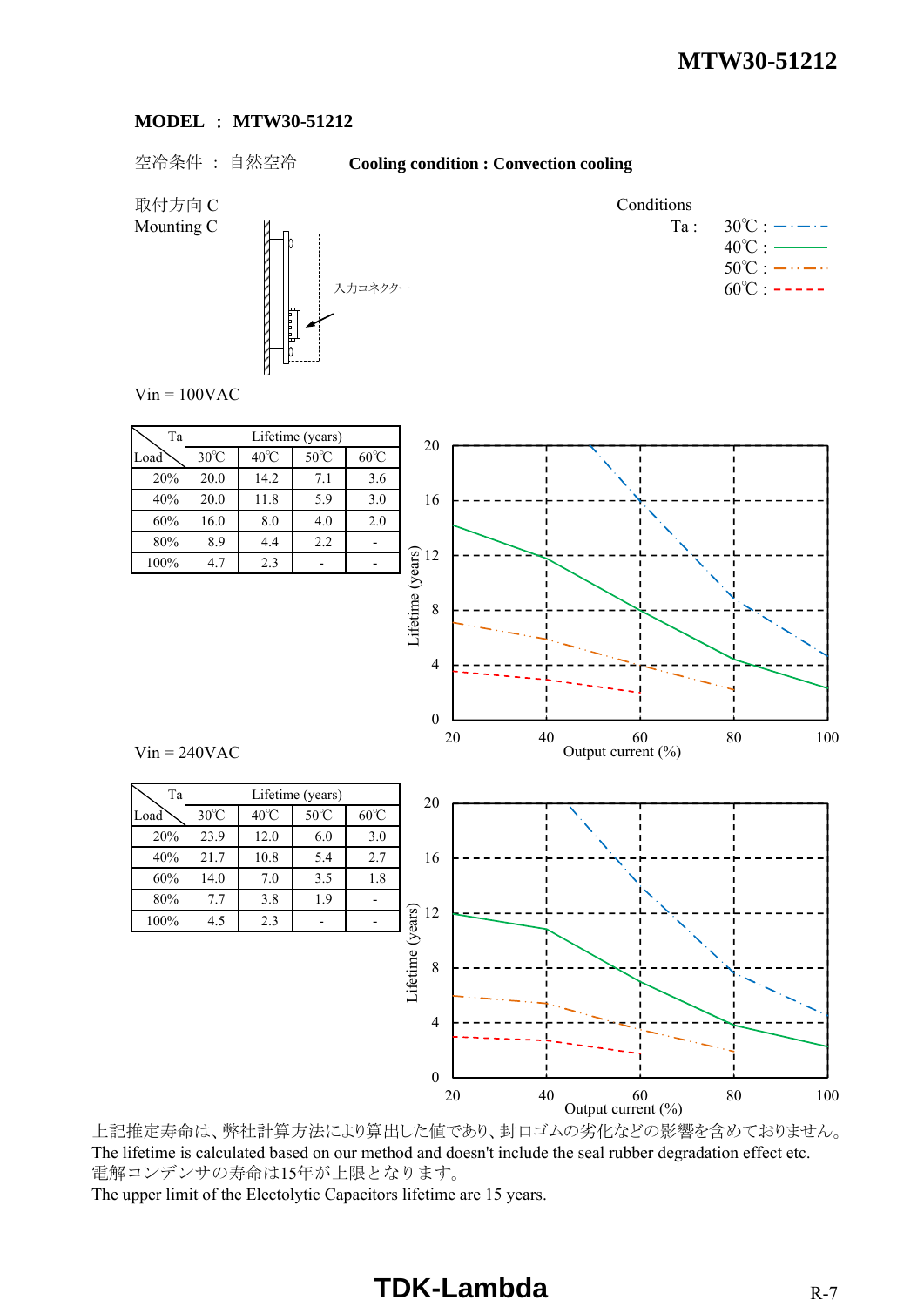#### **MODEL** : **MTW30-51212**

## 空冷条件 : 自然空冷 **Cooling condition : Convection cooling**

取付方向 C Conditions



Mounting C  $\qquad \qquad \blacksquare$  Ta :  $30^{\circ}$ C :  $\rightarrow \rightarrow \rightarrow$  $40^{\circ}$ C :  $50^{\circ}$ C :  $-\cdots - \cdots$  $60^{\circ}$ C : -----

 $Vin = 100VAC$ 

| Ta   | Lifetime (years) |                |                |                |  |
|------|------------------|----------------|----------------|----------------|--|
| Load | $30^{\circ}$ C   | $40^{\circ}$ C | $50^{\circ}$ C | $60^{\circ}$ C |  |
| 20%  | 20.0             | 14.2           | 7.1            | 3.6            |  |
| 40%  | 20.0             | 11.8           | 5.9            | 3.0            |  |
| 60%  | 16.0             | 8.0            | 4.0            | 2.0            |  |
| 80%  | 8.9              | 4.4            | 2.2            |                |  |
| 100% | 4.7              | 2.3            |                |                |  |



Output current  $(\% )$ 

 $Vin = 240VAC$ 

 $100\%$  4.5 2.3

上記推定寿命は、弊社計算方法により算出した値であり、封口ゴムの劣化などの影響を含めておりません。 The lifetime is calculated based on our method and doesn't include the seal rubber degradation effect etc. 電解コンデンサの寿命は15年が上限となります。 The upper limit of the Electolytic Capacitors lifetime are 15 years.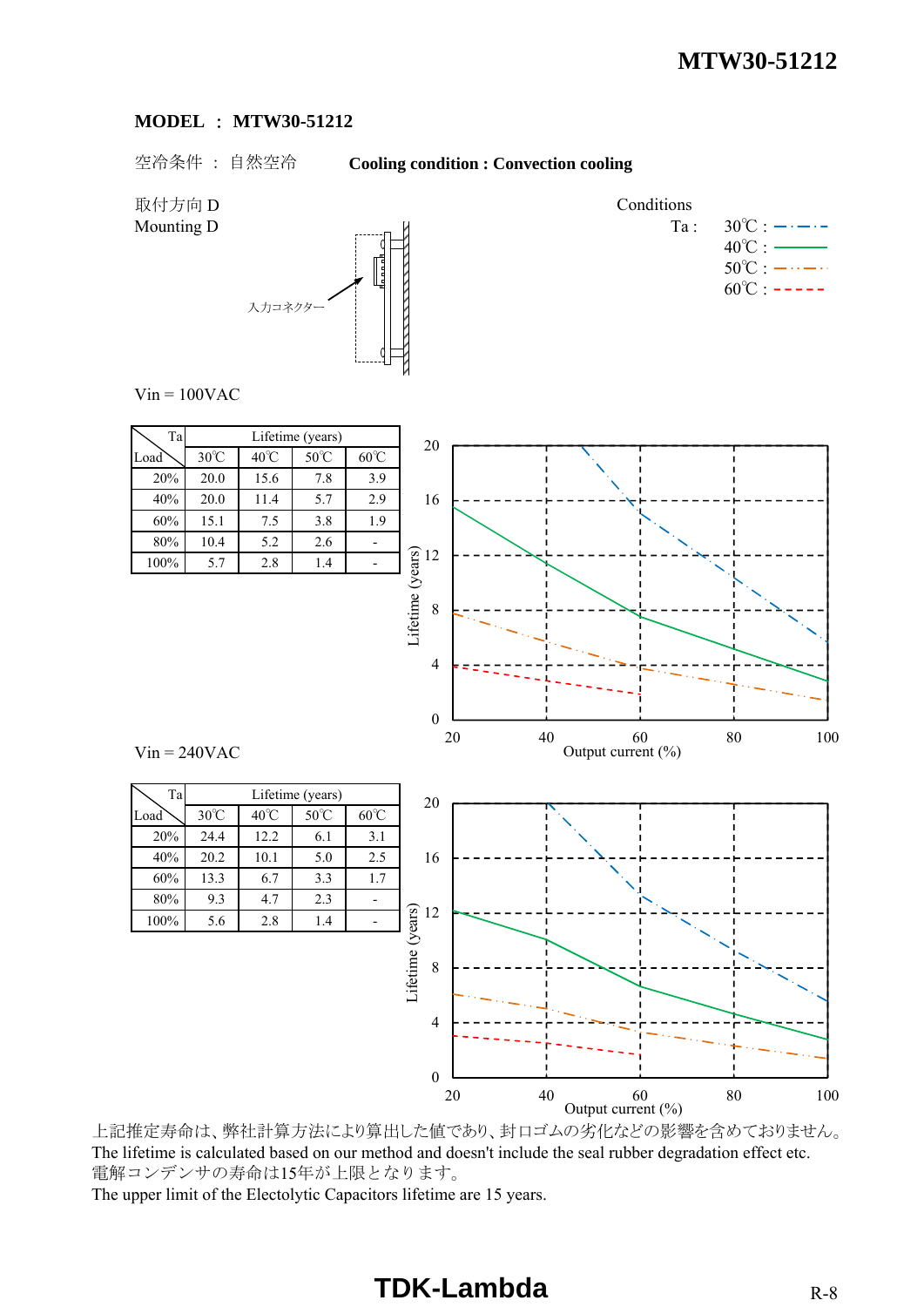#### **MODEL** : **MTW30-51212**

空冷条件 : 自然空冷 **Cooling condition : Convection cooling**

取付方向 D Conditions



Mounting D  $\qquad \qquad$  M  $\qquad \qquad$  M  $\qquad \qquad$  Ta :  $30^{\circ}$ C :  $\qquad \qquad$   $\qquad$  -  $\qquad$  $40^{\circ}$ C :  $50^{\circ}$ C :  $-\cdots - \cdots$  $60^{\circ}$ C : -----

 $Vin = 100VAC$ 

| Ta   | Lifetime (years) |                |                |                |  |
|------|------------------|----------------|----------------|----------------|--|
| Load | $30^{\circ}$ C   | $40^{\circ}$ C | $50^{\circ}$ C | $60^{\circ}$ C |  |
| 20%  | 20.0             | 15.6           | 7.8            | 3.9            |  |
| 40%  | 20.0             | 11.4           | 5.7            | 2.9            |  |
| 60%  | 15.1             | 7.5            | 3.8            | 1.9            |  |
| 80%  | 10.4             | 5.2            | 2.6            |                |  |
| 100% | 5.7              | 2.8            | 1.4            |                |  |

Ta Lifetime (years)

80% 9.3 4.7 2.3 -

100% 5.6 2.8 1.4



20 40 60 80 100

Output current  $(\% )$ 

 $Vin = 240VAC$ 

上記推定寿命は、弊社計算方法により算出した値であり、封口ゴムの劣化などの影響を含めておりません。 The lifetime is calculated based on our method and doesn't include the seal rubber degradation effect etc. 電解コンデンサの寿命は15年が上限となります。 The upper limit of the Electolytic Capacitors lifetime are 15 years.

0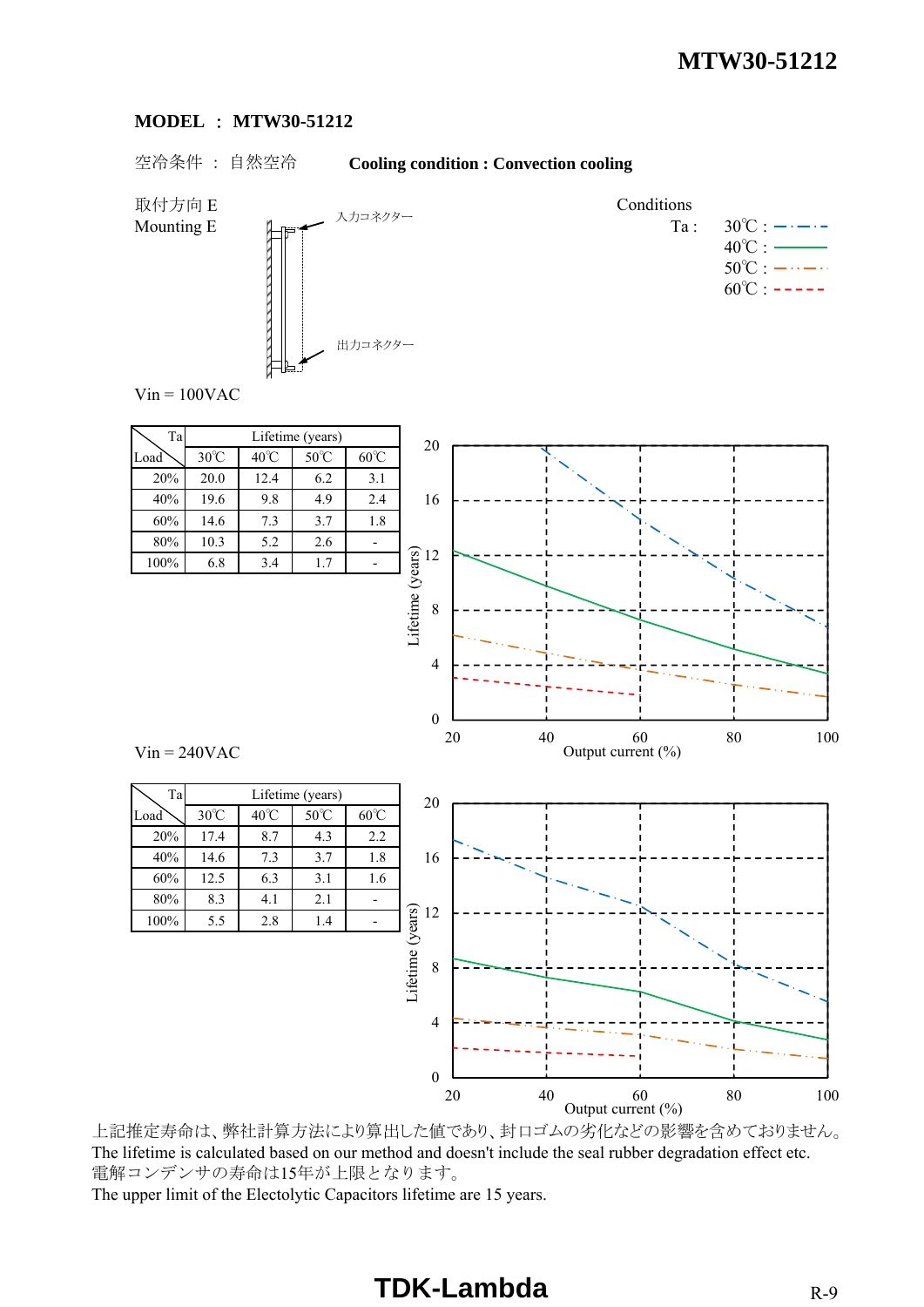#### **MODEL** : **MTW30-51212**

## 空冷条件 : 自然空冷 **Cooling condition : Convection cooling**

取付方向 E Conditions Mounting E  $\qquad \qquad \mathbb{L}_{\mathbb{R}^m}$   $\qquad \qquad \mathbb{L}_{\mathbb{R}^m}$   $\longrightarrow$   $\qquad \qquad \mathbb{T}_a$  :  $30^\circ \text{C}$  :  $\longrightarrow$   $\longrightarrow$  $40^{\circ}$ C :  $50^{\circ}$ C :  $-\cdots - \cdots$  $60^{\circ}$ C : ----- $Vin = 100VAC$ Ta Lifetime (years) 20% 20.0 12.4 6.2 3.1 20 入力コネクター 出力コネクター

 $Vin = 240VAC$ 

|                | 20             |      |                |                           |
|----------------|----------------|------|----------------|---------------------------|
| $30^{\circ}$ C | $40^{\circ}$ C | 50°C | $60^{\circ}$ C |                           |
| 20.0           | 12.4           | 6.2  | 3.1            |                           |
| 19.6           | 9.8            | 4.9  | 2.4            | 16                        |
| 14.6           | 7.3            | 3.7  | 1.8            |                           |
| 10.3           | 5.2            | 2.6  |                |                           |
| 6.8            | 3.4            | 1.7  |                | $\widehat{\mathbf{g}}$ 12 |
|                |                |      |                |                           |



上記推定寿命は、弊社計算方法により算出した値であり、封口ゴムの劣化などの影響を含めておりません。 The lifetime is calculated based on our method and doesn't include the seal rubber degradation effect etc. 電解コンデンサの寿命は15年が上限となります。 The upper limit of the Electolytic Capacitors lifetime are 15 years.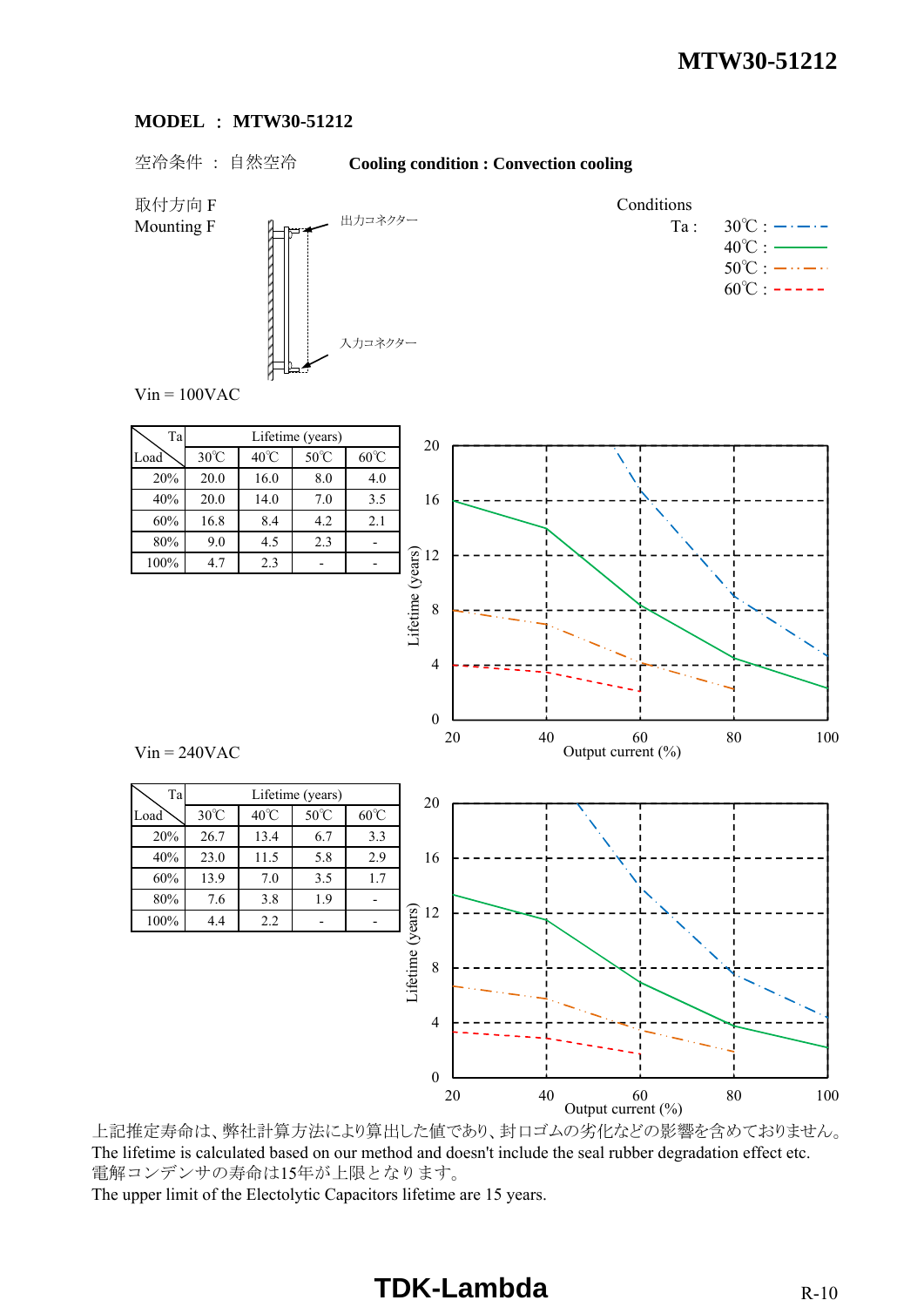#### **MODEL** : **MTW30-51212**

### 空冷条件 : 自然空冷 **Cooling condition : Convection cooling**



Mounting F  $\qquad \qquad \mathbb{L}_{\mathbb{R}^m}$   $\qquad \qquad \mathbb{H}^{m \times n \times n \times n}$   $\qquad \qquad \mathbb{T}_a$ :  $30^{\circ}$ C :  $\qquad \cdots$  $40^{\circ}$ C :  $50^{\circ}$ C :  $-\cdots - \cdots$  $60^{\circ}$ C : -----

 $Vin = 100VAC$ 

| Ta   | Lifetime (years) |                |                |                |  |  |  |  |  |
|------|------------------|----------------|----------------|----------------|--|--|--|--|--|
| Load | $30^{\circ}$ C   | $40^{\circ}$ C | $50^{\circ}$ C | $60^{\circ}$ C |  |  |  |  |  |
| 20%  | 20.0             | 16.0           | 8.0            | 4.0            |  |  |  |  |  |
| 40%  | 20.0             | 14.0           | 7.0            | 3.5            |  |  |  |  |  |
| 60%  | 16.8             | 8.4            | 4.2            | 2.1            |  |  |  |  |  |
| 80%  | 9.0              | 4.5            | 2.3            |                |  |  |  |  |  |
| 100% | 4.7              | 2.3            |                |                |  |  |  |  |  |

Ta Lifetime (years)



Output current  $(\% )$ 

 $Vin = 240VAC$ 

 $100\%$  4.4 2.2

上記推定寿命は、弊社計算方法により算出した値であり、封口ゴムの劣化などの影響を含めておりません。 The lifetime is calculated based on our method and doesn't include the seal rubber degradation effect etc. 電解コンデンサの寿命は15年が上限となります。 The upper limit of the Electolytic Capacitors lifetime are 15 years.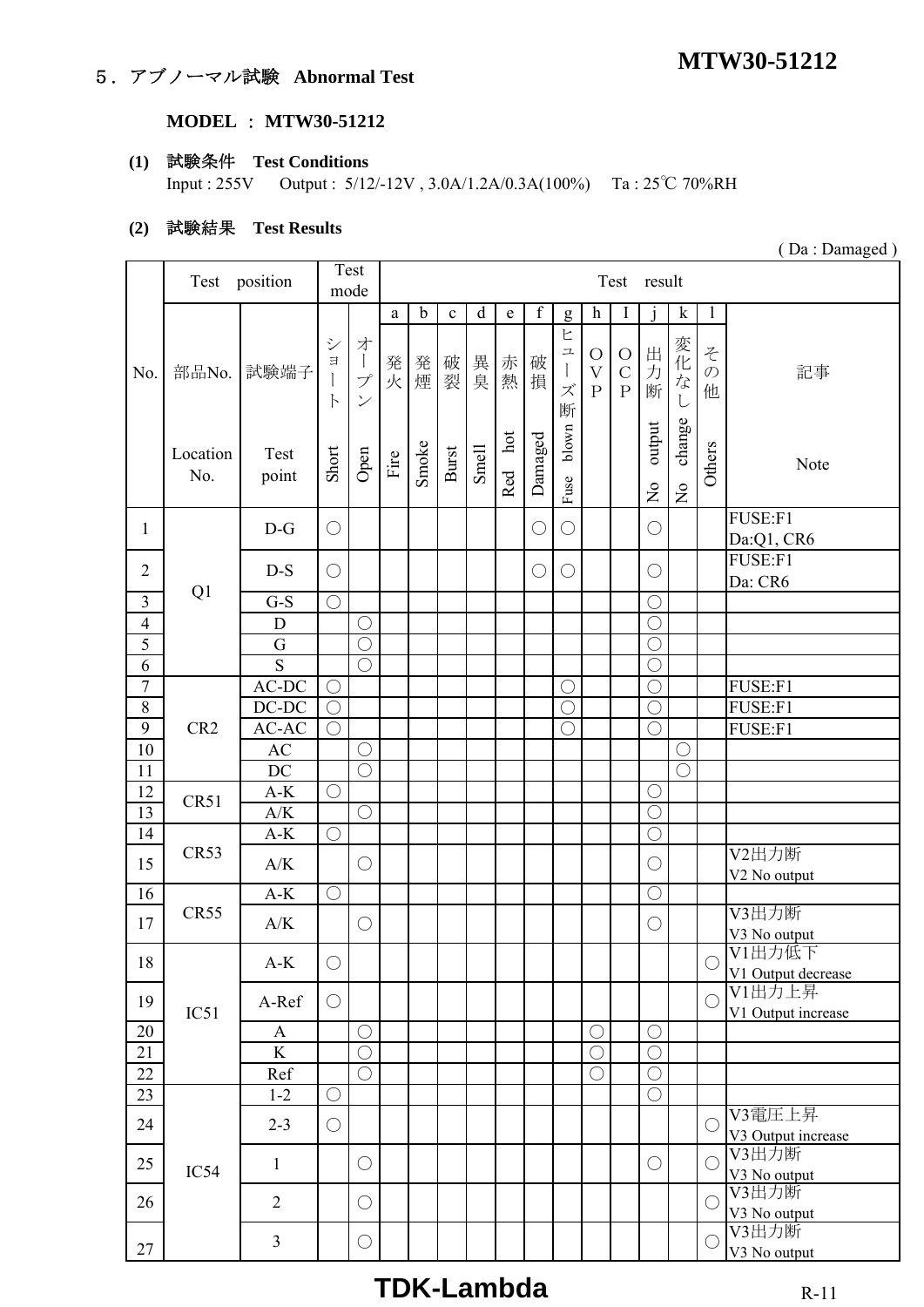## **MTW30-51212** 5.アブノーマル試験 **Abnormal Test**

### **MODEL** : **MTW30-51212**

## **(1)** 試験条件 **Test Conditions**

Input : 255V Output : 5/12/-12V , 3.0A/1.2A/0.3A(100%) Ta : 25℃ 70%RH

#### **(2)** 試験結果 **Test Results**

|                  | Test position   |                                |                                              | Test                                                                                            | Test result            |                   |                   |                   |                     |             |                                                                                                                                                                                                                                                                                                                                                                                                                                                                                                                                                  |                                                                           |                                                         |                                     |                                 |                              |                                              |
|------------------|-----------------|--------------------------------|----------------------------------------------|-------------------------------------------------------------------------------------------------|------------------------|-------------------|-------------------|-------------------|---------------------|-------------|--------------------------------------------------------------------------------------------------------------------------------------------------------------------------------------------------------------------------------------------------------------------------------------------------------------------------------------------------------------------------------------------------------------------------------------------------------------------------------------------------------------------------------------------------|---------------------------------------------------------------------------|---------------------------------------------------------|-------------------------------------|---------------------------------|------------------------------|----------------------------------------------|
|                  |                 |                                | mode                                         |                                                                                                 |                        |                   |                   |                   |                     |             |                                                                                                                                                                                                                                                                                                                                                                                                                                                                                                                                                  |                                                                           |                                                         |                                     |                                 |                              |                                              |
| No.              | 部品No.           | 試験端子                           | $\ddot{\checkmark}$<br>$\exists$<br>$\vdash$ | 才<br>$\begin{array}{c} \hline \end{array}$<br>$\mathcal{I}^{\circ}$<br>$\overline{\mathscr{S}}$ | $\mathbf{a}$<br>発<br>火 | $\mathbf b$<br>発煙 | $\mathbf c$<br>破裂 | $\mathbf d$<br>異臭 | e<br>赤熱             | f<br>破<br>損 | $\mathbf{g}$<br>ヒ<br>$\mathfrak{L}% =\mathfrak{L}_{\mathcal{F}}\left( \mathfrak{L}_{\mathcal{F}}\right) ^{\ast }=\mathfrak{L}_{\mathcal{F}}\left( \mathfrak{L}_{\mathcal{F}}\right) ^{\ast }=\mathfrak{L}_{\mathcal{F}}\left( \mathfrak{L}_{\mathcal{F}}\right) ^{\ast }=\mathfrak{L}_{\mathcal{F}}\left( \mathfrak{L}_{\mathcal{F}}\right) ^{\ast }=\mathfrak{L}_{\mathcal{F}}\left( \mathfrak{L}_{\mathcal{F}}\right) ^{\ast }=\mathfrak{L}_{\mathcal{F}}\left( \mathfrak{L}_{\mathcal{F}}\right)$<br>$\begin{array}{c} \end{array}$<br>ズ<br>断 | $\boldsymbol{h}$<br>$\bigcirc$<br>$\overline{\mathrm{V}}$<br>$\mathbf{P}$ | $\bf{l}$<br>$\bigcirc$<br>$\mathbf C$<br>$\overline{P}$ | 出力<br>断                             | $\mathbf k$<br>変化な<br>L         | 1<br>そ<br>$\mathcal{O}$<br>他 | 記事                                           |
|                  | Location<br>No. | Test<br>point                  | Short                                        | Open                                                                                            | Fire                   | Smoke             | Burst             | Smell             | $_{\rm hot}$<br>Red | Damaged     | blown<br>Fuse                                                                                                                                                                                                                                                                                                                                                                                                                                                                                                                                    |                                                                           |                                                         | output<br>$\mathsf{S}^{\mathsf{O}}$ | change<br>$\mathop{\mathsf{S}}$ | Others                       | Note                                         |
| $\mathbf{1}$     |                 | $D-G$                          | $\bigcirc$                                   |                                                                                                 |                        |                   |                   |                   |                     | $\bigcirc$  | $\bigcirc$                                                                                                                                                                                                                                                                                                                                                                                                                                                                                                                                       |                                                                           |                                                         | $\bigcirc$                          |                                 |                              | FUSE:F1<br>Da:Q1, CR6                        |
| $\overline{2}$   |                 | $D-S$                          | $\bigcirc$                                   |                                                                                                 |                        |                   |                   |                   |                     | О           | $\bigcirc$                                                                                                                                                                                                                                                                                                                                                                                                                                                                                                                                       |                                                                           |                                                         | $\bigcirc$                          |                                 |                              | FUSE:F1<br>Da: CR6                           |
| $\overline{3}$   | Q1              | $G-S$                          | $\bigcirc$                                   |                                                                                                 |                        |                   |                   |                   |                     |             |                                                                                                                                                                                                                                                                                                                                                                                                                                                                                                                                                  |                                                                           |                                                         | $\bigcirc$                          |                                 |                              |                                              |
| $\overline{4}$   |                 | D                              |                                              | $\bigcirc$                                                                                      |                        |                   |                   |                   |                     |             |                                                                                                                                                                                                                                                                                                                                                                                                                                                                                                                                                  |                                                                           |                                                         | $\bigcirc$                          |                                 |                              |                                              |
| $\overline{5}$   |                 | G                              |                                              | $\overline{\bigcirc}$                                                                           |                        |                   |                   |                   |                     |             |                                                                                                                                                                                                                                                                                                                                                                                                                                                                                                                                                  |                                                                           |                                                         | $\bigcirc$                          |                                 |                              |                                              |
| 6                |                 | S                              |                                              | $\bigcirc$                                                                                      |                        |                   |                   |                   |                     |             |                                                                                                                                                                                                                                                                                                                                                                                                                                                                                                                                                  |                                                                           |                                                         | $\bigcirc$                          |                                 |                              |                                              |
| $\boldsymbol{7}$ |                 | $\mbox{{\sc AC-DC}}$           | $\bigcirc$                                   |                                                                                                 |                        |                   |                   |                   |                     |             | $\bigcirc$                                                                                                                                                                                                                                                                                                                                                                                                                                                                                                                                       |                                                                           |                                                         | $\overline{\bigcirc}$               |                                 |                              | FUSE:F1                                      |
| $8\,$            |                 | $DC-DC$                        | $\bigcirc$                                   |                                                                                                 |                        |                   |                   |                   |                     |             | $\bigcirc$                                                                                                                                                                                                                                                                                                                                                                                                                                                                                                                                       |                                                                           |                                                         | $\bigcirc$                          |                                 |                              | FUSE:F1                                      |
| 9                | CR <sub>2</sub> | AC-AC                          | $\bigcirc$                                   |                                                                                                 |                        |                   |                   |                   |                     |             | $\bigcirc$                                                                                                                                                                                                                                                                                                                                                                                                                                                                                                                                       |                                                                           |                                                         | $\bigcirc$                          |                                 |                              | FUSE:F1                                      |
| $10\,$           |                 | AC                             |                                              | $\bigcirc$                                                                                      |                        |                   |                   |                   |                     |             |                                                                                                                                                                                                                                                                                                                                                                                                                                                                                                                                                  |                                                                           |                                                         |                                     | С                               |                              |                                              |
| 11               |                 | DC                             |                                              | $\bigcirc$                                                                                      |                        |                   |                   |                   |                     |             |                                                                                                                                                                                                                                                                                                                                                                                                                                                                                                                                                  |                                                                           |                                                         |                                     | $\bigcirc$                      |                              |                                              |
| 12               |                 | $A-K$                          | $\bigcirc$                                   |                                                                                                 |                        |                   |                   |                   |                     |             |                                                                                                                                                                                                                                                                                                                                                                                                                                                                                                                                                  |                                                                           |                                                         | $\bigcirc$                          |                                 |                              |                                              |
| $\overline{13}$  | CR51            | $\mathbf{A}/\mathbf{K}$        |                                              | $\bigcirc$                                                                                      |                        |                   |                   |                   |                     |             |                                                                                                                                                                                                                                                                                                                                                                                                                                                                                                                                                  |                                                                           |                                                         | $\bigcirc$                          |                                 |                              |                                              |
| 14               |                 | $A-K$                          | $\bigcirc$                                   |                                                                                                 |                        |                   |                   |                   |                     |             |                                                                                                                                                                                                                                                                                                                                                                                                                                                                                                                                                  |                                                                           |                                                         | $\bigcirc$                          |                                 |                              |                                              |
| 15               | CR53            | A/K                            |                                              | $\bigcirc$                                                                                      |                        |                   |                   |                   |                     |             |                                                                                                                                                                                                                                                                                                                                                                                                                                                                                                                                                  |                                                                           |                                                         | $\bigcirc$                          |                                 |                              | V2出力断<br>V2 No output                        |
| 16               |                 | $A-K$                          | $\bigcirc$                                   |                                                                                                 |                        |                   |                   |                   |                     |             |                                                                                                                                                                                                                                                                                                                                                                                                                                                                                                                                                  |                                                                           |                                                         | $\bigcirc$                          |                                 |                              |                                              |
| 17               | CR55            | A/K                            |                                              | $\bigcirc$                                                                                      |                        |                   |                   |                   |                     |             |                                                                                                                                                                                                                                                                                                                                                                                                                                                                                                                                                  |                                                                           |                                                         | $\bigcirc$                          |                                 |                              | V3出力断                                        |
| 18               |                 | $\mathbf{A}\text{-}\mathbf{K}$ | $\bigcirc$                                   |                                                                                                 |                        |                   |                   |                   |                     |             |                                                                                                                                                                                                                                                                                                                                                                                                                                                                                                                                                  |                                                                           |                                                         |                                     |                                 | $\bigcirc$                   | V3 No output<br>V1出力低下<br>V1 Output decrease |
| 19               | IC51            | A-Ref                          | $\bigcirc$                                   |                                                                                                 |                        |                   |                   |                   |                     |             |                                                                                                                                                                                                                                                                                                                                                                                                                                                                                                                                                  |                                                                           |                                                         |                                     |                                 | $\bigcirc$                   | V1出力上昇<br>V1 Output increase                 |
| 20               |                 | A                              |                                              | $\bigcirc$                                                                                      |                        |                   |                   |                   |                     |             |                                                                                                                                                                                                                                                                                                                                                                                                                                                                                                                                                  | $\bigcirc$                                                                |                                                         | $\bigcirc$                          |                                 |                              |                                              |
| 21               |                 | $\rm K$                        |                                              | $\bigcirc$                                                                                      |                        |                   |                   |                   |                     |             |                                                                                                                                                                                                                                                                                                                                                                                                                                                                                                                                                  | $\bigcirc$                                                                |                                                         | $\bigcirc$                          |                                 |                              |                                              |
| 22               |                 | Ref                            |                                              | $\bigcirc$                                                                                      |                        |                   |                   |                   |                     |             |                                                                                                                                                                                                                                                                                                                                                                                                                                                                                                                                                  | $\bigcirc$                                                                |                                                         | $\bigcirc$                          |                                 |                              |                                              |
| 23               |                 | $1 - 2$                        | $\bigcirc$                                   |                                                                                                 |                        |                   |                   |                   |                     |             |                                                                                                                                                                                                                                                                                                                                                                                                                                                                                                                                                  |                                                                           |                                                         | $\bigcirc$                          |                                 |                              |                                              |
| 24               | IC54            | $2 - 3$                        | $\bigcirc$                                   |                                                                                                 |                        |                   |                   |                   |                     |             |                                                                                                                                                                                                                                                                                                                                                                                                                                                                                                                                                  |                                                                           |                                                         |                                     |                                 | O                            | V3電圧上昇<br>V3 Output increase                 |
| 25               |                 | 1                              |                                              | $\bigcirc$                                                                                      |                        |                   |                   |                   |                     |             |                                                                                                                                                                                                                                                                                                                                                                                                                                                                                                                                                  |                                                                           |                                                         | $\bigcirc$                          |                                 | $\bigcirc$                   | V3出力断<br>V3 No output                        |
| 26               |                 | $\overline{2}$                 |                                              | $\bigcirc$                                                                                      |                        |                   |                   |                   |                     |             |                                                                                                                                                                                                                                                                                                                                                                                                                                                                                                                                                  |                                                                           |                                                         |                                     |                                 | $\bigcirc$                   | V3出力断<br>V3 No output                        |
| $27\,$           |                 | $\mathfrak{Z}$                 |                                              | $\bigcirc$                                                                                      |                        |                   |                   |                   |                     |             |                                                                                                                                                                                                                                                                                                                                                                                                                                                                                                                                                  |                                                                           |                                                         |                                     |                                 | $\bigcirc$                   | V3出力断<br>V3 No output                        |

## **TDK-Lambda** R-11

( Da : Damaged )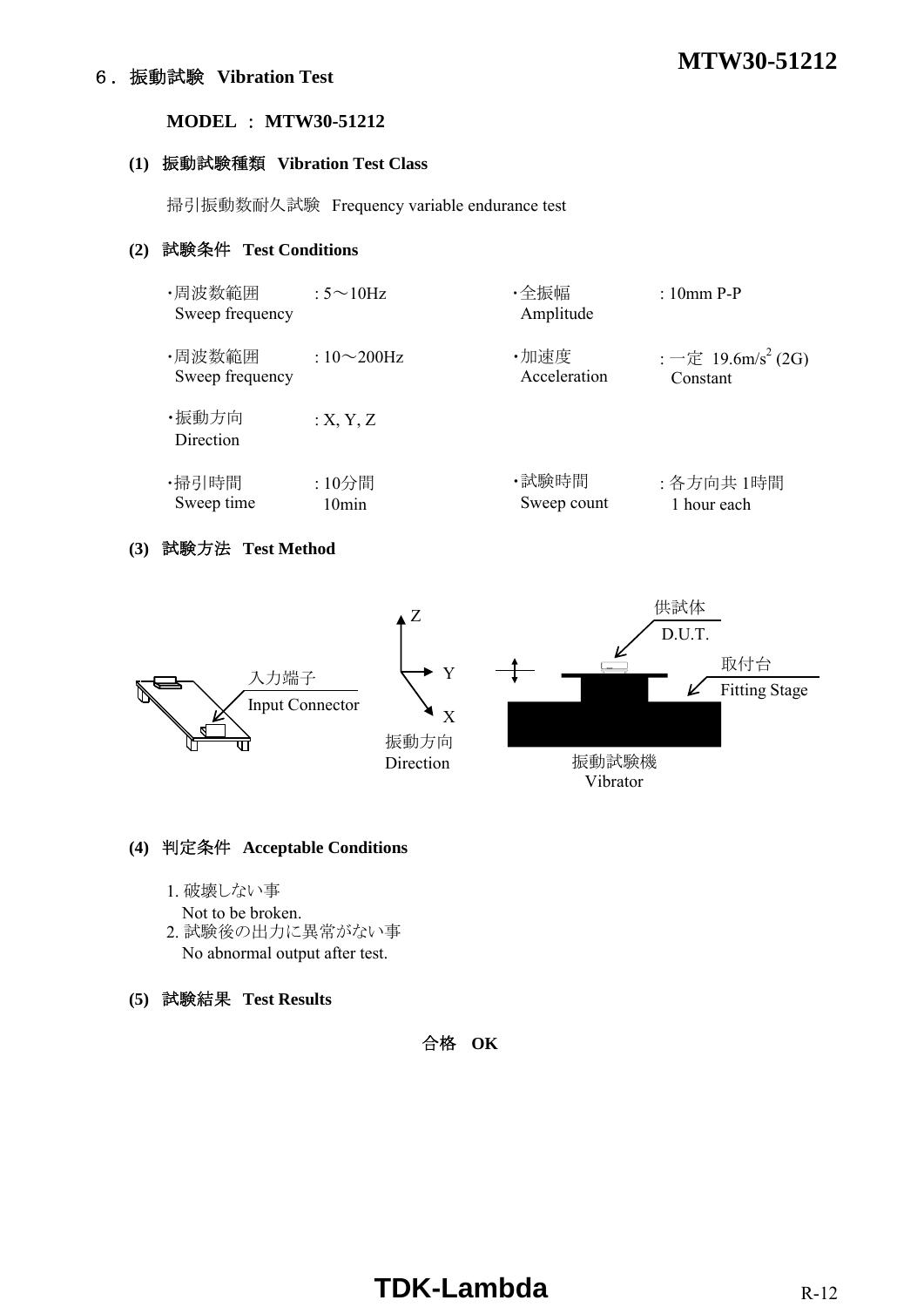## **MTW30-51212** 6.振動試験 **Vibration Test**

#### **MODEL** : **MTW30-51212**

#### **(1)** 振動試験種類 **Vibration Test Class**

掃引振動数耐久試験 Frequency variable endurance test

## **(2)** 試験条件 **Test Conditions**

| ・周波数範囲<br>Sweep frequency | : $5 \sim 10$ Hz   | ・全振幅<br>Amplitude | $: 10$ mm P-P                  |
|---------------------------|--------------------|-------------------|--------------------------------|
| ・周波数範囲                    | : $10\infty200$ Hz | ·加速度              | : 一定 19.6m/s <sup>2</sup> (2G) |
| Sweep frequency           |                    | Acceleration      | Constant                       |
| ・振動方向<br>Direction        | :X, Y, Z           |                   |                                |
| ・掃引時間                     | :10分間              | ・試験時間             | : 各方向共 1時間                     |
| Sweep time                | 10min              | Sweep count       | 1 hour each                    |

## **(3)** 試験方法 **Test Method**



#### **(4)** 判定条件 **Acceptable Conditions**

- 1. 破壊しない事
	- Not to be broken.
- 2. 試験後の出力に異常がない事 No abnormal output after test.
- **(5)** 試験結果 **Test Results**

合格 **OK**